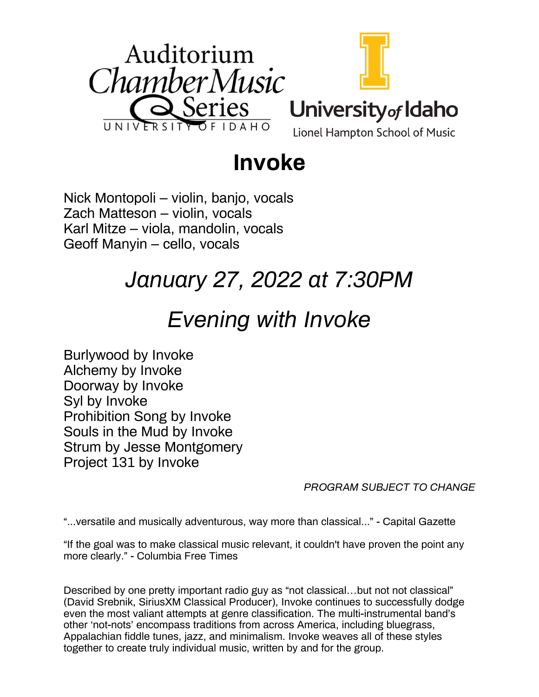

# **Invoke**

Nick Montopoli – violin, banjo, vocals Zach Matteson – violin, vocals Karl Mitze – viola, mandolin, vocals Geoff Manyin – cello, vocals

# *January 27, 2022 at 7:30PM*

## *Evening with Invoke*

Burlywood by Invoke Alchemy by Invoke Doorway by Invoke Syl by Invoke Prohibition Song by Invoke Souls in the Mud by Invoke Strum by Jesse Montgomery Project 131 by Invoke

*PROGRAM SUBJECT TO CHANGE*

"...versatile and musically adventurous, way more than classical..." - Capital Gazette

"If the goal was to make classical music relevant, it couldn't have proven the point any more clearly." - Columbia Free Times

Described by one pretty important radio guy as "not classical…but not not classical" (David Srebnik, SiriusXM Classical Producer), Invoke continues to successfully dodge even the most valiant attempts at genre classification. The multi-instrumental band's other 'not-nots' encompass traditions from across America, including bluegrass, Appalachian fiddle tunes, jazz, and minimalism. Invoke weaves all of these styles together to create truly individual music, written by and for the group.